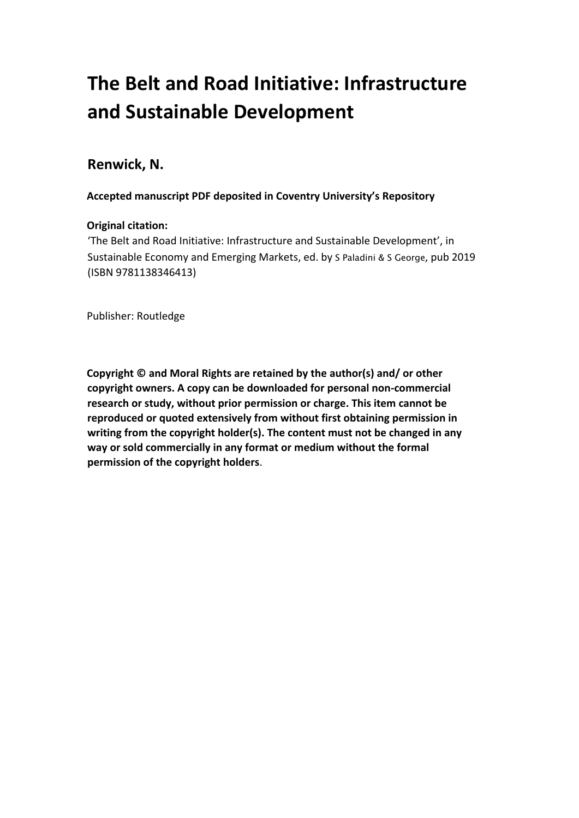# **The Belt and Road Initiative: Infrastructure and Sustainable Development**

## **Renwick, N.**

**Accepted manuscript PDF deposited in Coventry University's Repository** 

#### **Original citation:**

'The Belt and Road Initiative: Infrastructure and Sustainable Development', in Sustainable Economy and Emerging Markets, ed. by S Paladini & S George, pub 2019 (ISBN 9781138346413)

Publisher: Routledge

**Copyright © and Moral Rights are retained by the author(s) and/ or other copyright owners. A copy can be downloaded for personal non-commercial research or study, without prior permission or charge. This item cannot be reproduced or quoted extensively from without first obtaining permission in writing from the copyright holder(s). The content must not be changed in any way or sold commercially in any format or medium without the formal permission of the copyright holders**.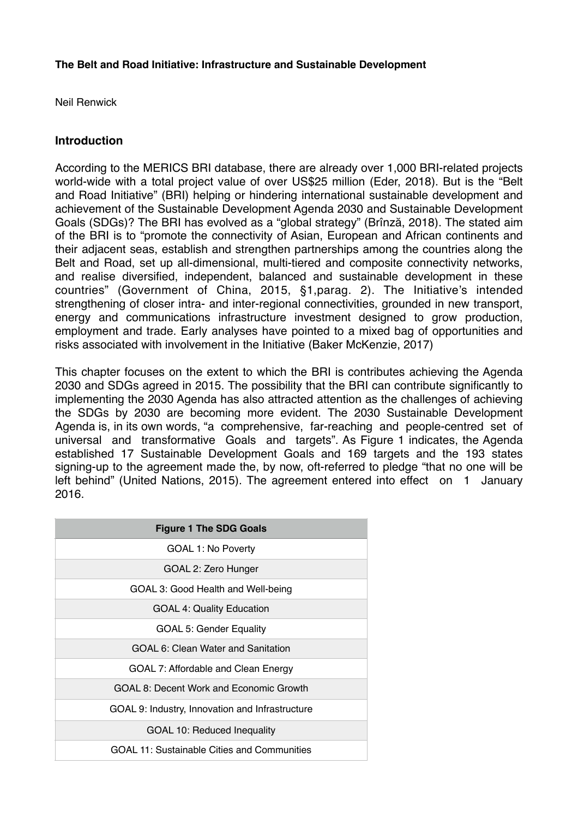#### **The Belt and Road Initiative: Infrastructure and Sustainable Development**

Neil Renwick

#### **Introduction**

 According to the MERICS BRI database, there are already over 1,000 BRI-related projects world-wide with a total project value of over US\$25 million (Eder, 2018). But is the "Belt and Road Initiative" (BRI) helping or hindering international sustainable development and achievement of the Sustainable Development Agenda 2030 and Sustainable Development Goals (SDGs)? The BRI has evolved as a "global strategy" (Brînză, 2018). The stated aim of the BRI is to "promote the connectivity of Asian, European and African continents and their adjacent seas, establish and strengthen partnerships among the countries along the Belt and Road, set up all-dimensional, multi-tiered and composite connectivity networks, and realise diversified, independent, balanced and sustainable development in these countries" (Government of China, 2015, §1,parag. 2). The Initiative's intended strengthening of closer intra- and inter-regional connectivities, grounded in new transport, energy and communications infrastructure investment designed to grow production, employment and trade. Early analyses have pointed to a mixed bag of opportunities and risks associated with involvement in the Initiative (Baker McKenzie, 2017)

 This chapter focuses on the extent to which the BRI is contributes achieving the Agenda 2030 and SDGs agreed in 2015. The possibility that the BRI can contribute significantly to implementing the 2030 Agenda has also attracted attention as the challenges of achieving the SDGs by 2030 are becoming more evident. The 2030 Sustainable Development Agenda is, in its own words, "a comprehensive, far-reaching and people-centred set of universal and transformative Goals and targets". As Figure 1 indicates, the Agenda established 17 Sustainable Development Goals and 169 targets and the 193 states signing-up to the agreement made the, by now, oft-referred to pledge "that no one will be left behind" (United Nations, 2015). The agreement entered into effect on 1 January 2016.

| <b>Figure 1 The SDG Goals</b>                   |
|-------------------------------------------------|
| <b>GOAL 1: No Poverty</b>                       |
| GOAL 2: Zero Hunger                             |
| GOAL 3: Good Health and Well-being              |
| <b>GOAL 4: Quality Education</b>                |
| <b>GOAL 5: Gender Equality</b>                  |
| GOAL 6: Clean Water and Sanitation              |
| GOAL 7: Affordable and Clean Energy             |
| GOAL 8: Decent Work and Economic Growth         |
| GOAL 9: Industry, Innovation and Infrastructure |
| <b>GOAL 10: Reduced Inequality</b>              |
| GOAL 11: Sustainable Cities and Communities     |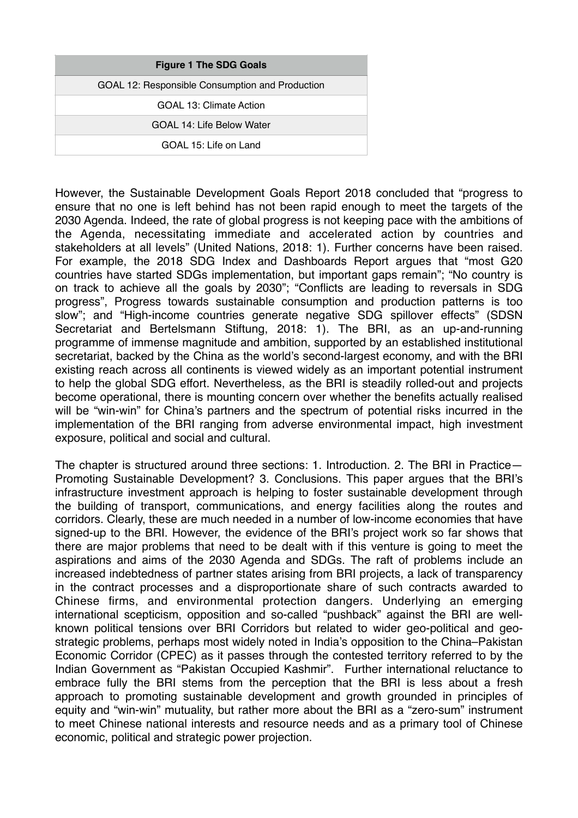However, the Sustainable Development Goals Report 2018 concluded that "progress to ensure that no one is left behind has not been rapid enough to meet the targets of the 2030 Agenda. Indeed, the rate of global progress is not keeping pace with the ambitions of the Agenda, necessitating immediate and accelerated action by countries and stakeholders at all levels" (United Nations, 2018: 1). Further concerns have been raised. For example, the 2018 SDG Index and Dashboards Report argues that "most G20 countries have started SDGs implementation, but important gaps remain"; "No country is on track to achieve all the goals by 2030"; "Conflicts are leading to reversals in SDG progress", Progress towards sustainable consumption and production patterns is too slow"; and "High-income countries generate negative SDG spillover effects" (SDSN Secretariat and Bertelsmann Stiftung, 2018: 1). The BRI, as an up-and-running programme of immense magnitude and ambition, supported by an established institutional secretariat, backed by the China as the world's second-largest economy, and with the BRI existing reach across all continents is viewed widely as an important potential instrument to help the global SDG effort. Nevertheless, as the BRI is steadily rolled-out and projects become operational, there is mounting concern over whether the benefits actually realised will be "win-win" for China's partners and the spectrum of potential risks incurred in the implementation of the BRI ranging from adverse environmental impact, high investment exposure, political and social and cultural.

 The chapter is structured around three sections: 1. Introduction. 2. The BRI in Practice— Promoting Sustainable Development? 3. Conclusions. This paper argues that the BRI's infrastructure investment approach is helping to foster sustainable development through the building of transport, communications, and energy facilities along the routes and corridors. Clearly, these are much needed in a number of low-income economies that have signed-up to the BRI. However, the evidence of the BRI's project work so far shows that there are major problems that need to be dealt with if this venture is going to meet the aspirations and aims of the 2030 Agenda and SDGs. The raft of problems include an increased indebtedness of partner states arising from BRI projects, a lack of transparency in the contract processes and a disproportionate share of such contracts awarded to Chinese firms, and environmental protection dangers. Underlying an emerging international scepticism, opposition and so-called "pushback" against the BRI are well- known political tensions over BRI Corridors but related to wider geo-political and geo- strategic problems, perhaps most widely noted in India's opposition to the China–Pakistan Economic Corridor (CPEC) as it passes through the contested territory referred to by the Indian Government as "Pakistan Occupied Kashmir". Further international reluctance to embrace fully the BRI stems from the perception that the BRI is less about a fresh approach to promoting sustainable development and growth grounded in principles of equity and "win-win" mutuality, but rather more about the BRI as a "zero-sum" instrument to meet Chinese national interests and resource needs and as a primary tool of Chinese economic, political and strategic power projection.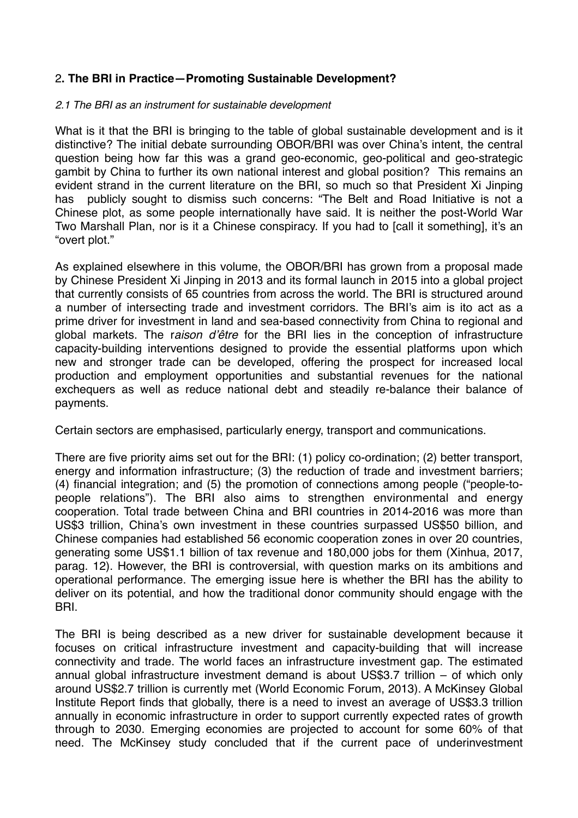### 2**. The BRI in Practice—Promoting Sustainable Development?**

#### *2.1 The BRI as an instrument for sustainable development*

 What is it that the BRI is bringing to the table of global sustainable development and is it distinctive? The initial debate surrounding OBOR/BRI was over China's intent, the central question being how far this was a grand geo-economic, geo-political and geo-strategic gambit by China to further its own national interest and global position? This remains an evident strand in the current literature on the BRI, so much so that President Xi Jinping has publicly sought to dismiss such concerns: "The Belt and Road Initiative is not a Chinese plot, as some people internationally have said. It is neither the post-World War Two Marshall Plan, nor is it a Chinese conspiracy. If you had to [call it something], it's an "overt plot."

 As explained elsewhere in this volume, the OBOR/BRI has grown from a proposal made by Chinese President Xi Jinping in 2013 and its formal launch in 2015 into a global project that currently consists of 65 countries from across the world. The BRI is structured around a number of intersecting trade and investment corridors. The BRI's aim is ito act as a prime driver for investment in land and sea-based connectivity from China to regional and global markets. The r*aison d'être* for the BRI lies in the conception of infrastructure capacity-building interventions designed to provide the essential platforms upon which new and stronger trade can be developed, offering the prospect for increased local production and employment opportunities and substantial revenues for the national exchequers as well as reduce national debt and steadily re-balance their balance of payments.

Certain sectors are emphasised, particularly energy, transport and communications.

 There are five priority aims set out for the BRI: (1) policy co-ordination; (2) better transport, energy and information infrastructure; (3) the reduction of trade and investment barriers; (4) financial integration; and (5) the promotion of connections among people ("people-to- people relations"). The BRI also aims to strengthen environmental and energy cooperation. Total trade between China and BRI countries in 2014-2016 was more than US\$3 trillion, China's own investment in these countries surpassed US\$50 billion, and Chinese companies had established 56 economic cooperation zones in over 20 countries, generating some US\$1.1 billion of tax revenue and 180,000 jobs for them (Xinhua, 2017, parag. 12). However, the BRI is controversial, with question marks on its ambitions and operational performance. The emerging issue here is whether the BRI has the ability to deliver on its potential, and how the traditional donor community should engage with the BRI.

 The BRI is being described as a new driver for sustainable development because it focuses on critical infrastructure investment and capacity-building that will increase connectivity and trade. The world faces an infrastructure investment gap. The estimated annual global infrastructure investment demand is about US\$3.7 trillion – of which only around US\$2.7 trillion is currently met (World Economic Forum, 2013). A McKinsey Global Institute Report finds that globally, there is a need to invest an average of US\$3.3 trillion annually in economic infrastructure in order to support currently expected rates of growth through to 2030. Emerging economies are projected to account for some 60% of that need. The McKinsey study concluded that if the current pace of underinvestment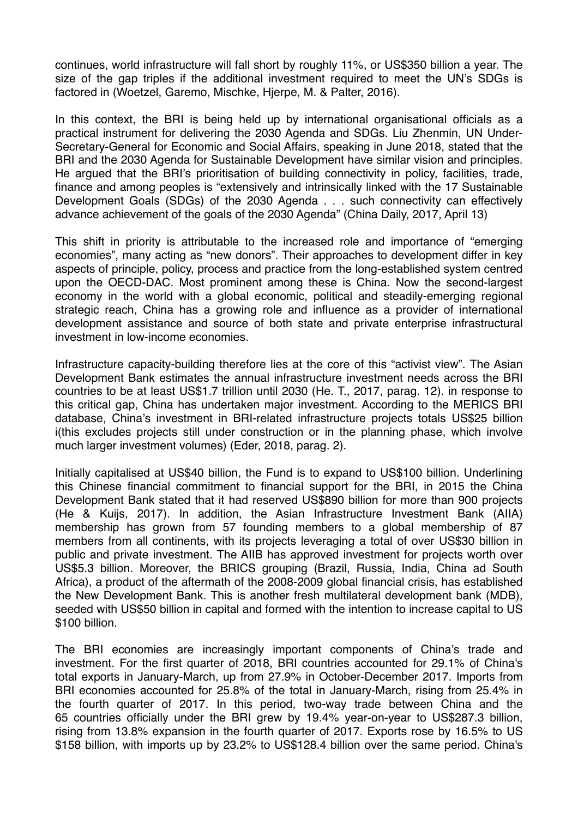continues, world infrastructure will fall short by roughly 11%, or US\$350 billion a year. The size of the gap triples if the additional investment required to meet the UN's SDGs is factored in (Woetzel, Garemo, Mischke, Hjerpe, M. & Palter, 2016).

 In this context, the BRI is being held up by international organisational officials as a practical instrument for delivering the 2030 Agenda and SDGs. Liu Zhenmin, UN Under- Secretary-General for Economic and Social Affairs, speaking in June 2018, stated that the BRI and the 2030 Agenda for Sustainable Development have similar vision and principles. He argued that the BRI's prioritisation of building connectivity in policy, facilities, trade, finance and among peoples is "extensively and intrinsically linked with the 17 Sustainable Development Goals (SDGs) of the 2030 Agenda . . . such connectivity can effectively advance achievement of the goals of the 2030 Agenda" (China Daily, 2017, April 13)

 This shift in priority is attributable to the increased role and importance of "emerging economies", many acting as "new donors". Their approaches to development differ in key aspects of principle, policy, process and practice from the long-established system centred upon the OECD-DAC. Most prominent among these is China. Now the second-largest economy in the world with a global economic, political and steadily-emerging regional strategic reach, China has a growing role and influence as a provider of international development assistance and source of both state and private enterprise infrastructural investment in low-income economies.

 Infrastructure capacity-building therefore lies at the core of this "activist view". The Asian Development Bank estimates the annual infrastructure investment needs across the BRI countries to be at least US\$1.7 trillion until 2030 (He. T., 2017, parag. 12). in response to this critical gap, China has undertaken major investment. According to the MERICS BRI database, China's investment in BRI-related infrastructure projects totals US\$25 billion i(this excludes projects still under construction or in the planning phase, which involve much larger investment volumes) (Eder, 2018, parag. 2).

 Initially capitalised at US\$40 billion, the Fund is to expand to US\$100 billion. Underlining this Chinese financial commitment to financial support for the BRI, in 2015 the China Development Bank stated that it had reserved US\$890 billion for more than 900 projects (He & Kuijs, 2017). In addition, the Asian Infrastructure Investment Bank (AIIA) membership has grown from 57 founding members to a global membership of 87 members from all continents, with its projects leveraging a total of over US\$30 billion in public and private investment. The AIIB has approved investment for projects worth over US\$5.3 billion. Moreover, the BRICS grouping (Brazil, Russia, India, China ad South Africa), a product of the aftermath of the 2008-2009 global financial crisis, has established the New Development Bank. This is another fresh multilateral development bank (MDB), seeded with US\$50 billion in capital and formed with the intention to increase capital to US \$100 billion.

 The BRI economies are increasingly important components of China's trade and investment. For the first quarter of 2018, BRI countries accounted for 29.1% of China's total exports in January-March, up from 27.9% in October-December 2017. Imports from BRI economies accounted for 25.8% of the total in January-March, rising from 25.4% in the fourth quarter of 2017. In this period, two-way trade between China and the 65 countries officially under the BRI grew by 19.4% year-on-year to US\$287.3 billion, rising from 13.8% expansion in the fourth quarter of 2017. Exports rose by 16.5% to US \$158 billion, with imports up by 23.2% to US\$128.4 billion over the same period. China's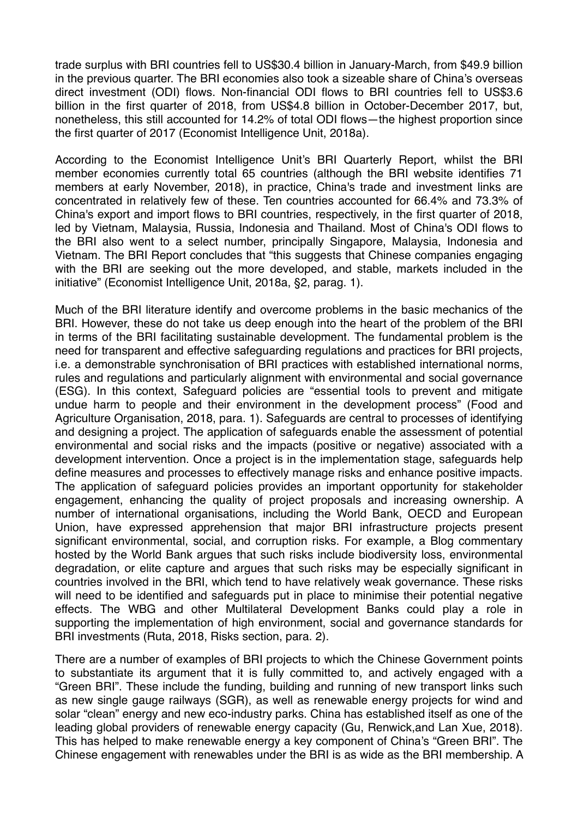trade surplus with BRI countries fell to US\$30.4 billion in January-March, from \$49.9 billion in the previous quarter. The BRI economies also took a sizeable share of China's overseas direct investment (ODI) flows. Non-financial ODI flows to BRI countries fell to US\$3.6 billion in the first quarter of 2018, from US\$4.8 billion in October-December 2017, but, nonetheless, this still accounted for 14.2% of total ODI flows—the highest proportion since the first quarter of 2017 (Economist Intelligence Unit, 2018a).

 According to the Economist Intelligence Unit's BRI Quarterly Report, whilst the BRI member economies currently total 65 countries (although the BRI website identifies 71 members at early November, 2018), in practice, China's trade and investment links are concentrated in relatively few of these. Ten countries accounted for 66.4% and 73.3% of China's export and import flows to BRI countries, respectively, in the first quarter of 2018, led by Vietnam, Malaysia, Russia, Indonesia and Thailand. Most of China's ODI flows to the BRI also went to a select number, principally Singapore, Malaysia, Indonesia and Vietnam. The BRI Report concludes that "this suggests that Chinese companies engaging with the BRI are seeking out the more developed, and stable, markets included in the initiative" (Economist Intelligence Unit, 2018a, §2, parag. 1).

 Much of the BRI literature identify and overcome problems in the basic mechanics of the BRI. However, these do not take us deep enough into the heart of the problem of the BRI in terms of the BRI facilitating sustainable development. The fundamental problem is the need for transparent and effective safeguarding regulations and practices for BRI projects, i.e. a demonstrable synchronisation of BRI practices with established international norms, rules and regulations and particularly alignment with environmental and social governance (ESG). In this context, Safeguard policies are "essential tools to prevent and mitigate undue harm to people and their environment in the development process" (Food and Agriculture Organisation, 2018, para. 1). Safeguards are central to processes of identifying and designing a project. The application of safeguards enable the assessment of potential environmental and social risks and the impacts (positive or negative) associated with a development intervention. Once a project is in the implementation stage, safeguards help define measures and processes to effectively manage risks and enhance positive impacts. The application of safeguard policies provides an important opportunity for stakeholder engagement, enhancing the quality of project proposals and increasing ownership. A number of international organisations, including the World Bank, OECD and European Union, have expressed apprehension that major BRI infrastructure projects present significant environmental, social, and corruption risks. For example, a Blog commentary hosted by the World Bank argues that such risks include biodiversity loss, environmental degradation, or elite capture and argues that such risks may be especially significant in countries involved in the BRI, which tend to have relatively weak governance. These risks will need to be identified and safeguards put in place to minimise their potential negative effects. The WBG and other Multilateral Development Banks could play a role in supporting the implementation of high environment, social and governance standards for BRI investments (Ruta, 2018, Risks section, para. 2).

 There are a number of examples of BRI projects to which the Chinese Government points to substantiate its argument that it is fully committed to, and actively engaged with a "Green BRI". These include the funding, building and running of new transport links such as new single gauge railways (SGR), as well as renewable energy projects for wind and solar "clean" energy and new eco-industry parks. China has established itself as one of the leading global providers of renewable energy capacity (Gu, Renwick,and Lan Xue, 2018). This has helped to make renewable energy a key component of China's "Green BRI". The Chinese engagement with renewables under the BRI is as wide as the BRI membership. A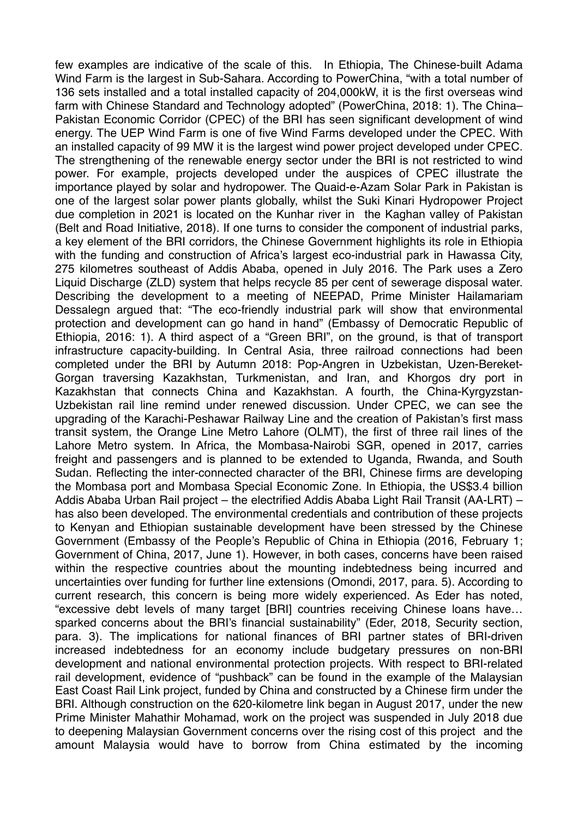few examples are indicative of the scale of this. In Ethiopia, The Chinese-built Adama Wind Farm is the largest in Sub-Sahara. According to PowerChina, "with a total number of 136 sets installed and a total installed capacity of 204,000kW, it is the first overseas wind farm with Chinese Standard and Technology adopted" (PowerChina, 2018: 1). The China– Pakistan Economic Corridor (CPEC) of the BRI has seen significant development of wind energy. The UEP Wind Farm is one of five Wind Farms developed under the CPEC. With an installed capacity of 99 MW it is the largest wind power project developed under CPEC. The strengthening of the renewable energy sector under the BRI is not restricted to wind power. For example, projects developed under the auspices of CPEC illustrate the importance played by solar and hydropower. The Quaid-e-Azam Solar Park in Pakistan is one of the largest solar power plants globally, whilst the Suki Kinari Hydropower Project due completion in 2021 is located on the Kunhar river in the Kaghan valley of Pakistan (Belt and Road Initiative, 2018). If one turns to consider the component of industrial parks, a key element of the BRI corridors, the Chinese Government highlights its role in Ethiopia with the funding and construction of Africa's largest eco-industrial park in Hawassa City, 275 kilometres southeast of Addis Ababa, opened in July 2016. The Park uses a Zero Liquid Discharge (ZLD) system that helps recycle 85 per cent of sewerage disposal water. Describing the development to a meeting of NEEPAD, Prime Minister Hailamariam Dessalegn argued that: "The eco-friendly industrial park will show that environmental protection and development can go hand in hand" (Embassy of Democratic Republic of Ethiopia, 2016: 1). A third aspect of a "Green BRI", on the ground, is that of transport infrastructure capacity-building. In Central Asia, three railroad connections had been completed under the BRI by Autumn 2018: Pop-Angren in Uzbekistan, Uzen-Bereket- Gorgan traversing Kazakhstan, Turkmenistan, and Iran, and Khorgos dry port in Kazakhstan that connects China and Kazakhstan. A fourth, the China-Kyrgyzstan- Uzbekistan rail line remind under renewed discussion. Under CPEC, we can see the upgrading of the Karachi-Peshawar Railway Line and the creation of Pakistan's first mass transit system, the Orange Line Metro Lahore (OLMT), the first of three rail lines of the Lahore Metro system. In Africa, the Mombasa-Nairobi SGR, opened in 2017, carries freight and passengers and is planned to be extended to Uganda, Rwanda, and South Sudan. Reflecting the inter-connected character of the BRI, Chinese firms are developing the Mombasa port and Mombasa Special Economic Zone. In Ethiopia, the US\$3.4 billion Addis Ababa Urban Rail project – the electrified Addis Ababa Light Rail Transit (AA-LRT) – has also been developed. The environmental credentials and contribution of these projects to Kenyan and Ethiopian sustainable development have been stressed by the Chinese Government (Embassy of the People's Republic of China in Ethiopia (2016, February 1; Government of China, 2017, June 1). However, in both cases, concerns have been raised within the respective countries about the mounting indebtedness being incurred and uncertainties over funding for further line extensions (Omondi, 2017, para. 5). According to current research, this concern is being more widely experienced. As Eder has noted, "excessive debt levels of many target [BRI] countries receiving Chinese loans have… sparked concerns about the BRI's financial sustainability" (Eder, 2018, Security section, para. 3). The implications for national finances of BRI partner states of BRI-driven increased indebtedness for an economy include budgetary pressures on non-BRI development and national environmental protection projects. With respect to BRI-related rail development, evidence of "pushback" can be found in the example of the Malaysian East Coast Rail Link project, funded by China and constructed by a Chinese firm under the BRI. Although construction on the 620-kilometre link began in August 2017, under the new Prime Minister Mahathir Mohamad, work on the project was suspended in July 2018 due to deepening Malaysian Government concerns over the rising cost of this project and the amount Malaysia would have to borrow from China estimated by the incoming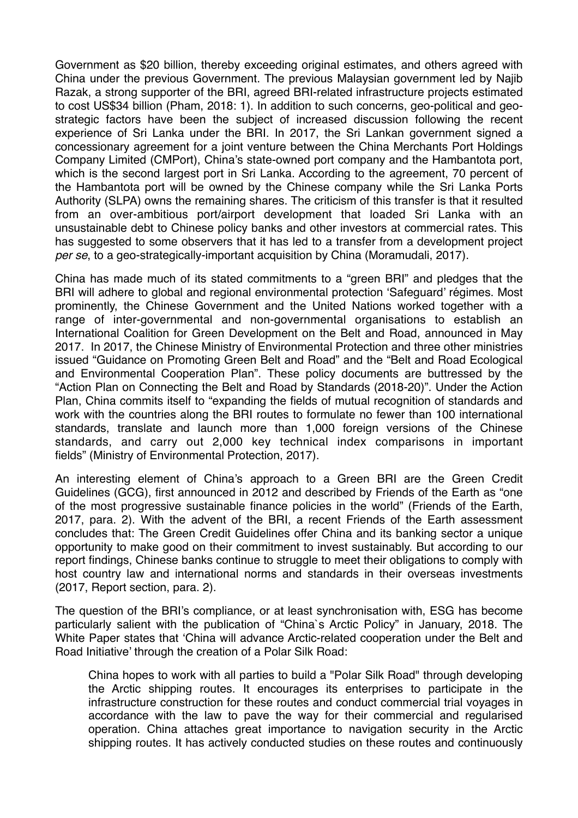Government as \$20 billion, thereby exceeding original estimates, and others agreed with China under the previous Government. The previous Malaysian government led by Najib Razak, a strong supporter of the BRI, agreed BRI-related infrastructure projects estimated to cost US\$34 billion (Pham, 2018: 1). In addition to such concerns, geo-political and geo- strategic factors have been the subject of increased discussion following the recent experience of Sri Lanka under the BRI. In 2017, the Sri Lankan government signed a concessionary agreement for a joint venture between the China Merchants Port Holdings Company Limited (CMPort), China's state-owned port company and the Hambantota port, which is the second largest port in Sri Lanka. According to the agreement, 70 percent of the Hambantota port will be owned by the Chinese company while the Sri Lanka Ports Authority (SLPA) owns the remaining shares. The criticism of this transfer is that it resulted from an over-ambitious port/airport development that loaded Sri Lanka with an unsustainable debt to Chinese policy banks and other investors at commercial rates. This has suggested to some observers that it has led to a transfer from a development project *per se*, to a geo-strategically-important acquisition by China (Moramudali, 2017).

 China has made much of its stated commitments to a "green BRI" and pledges that the BRI will adhere to global and regional environmental protection 'Safeguard' régimes. Most prominently, the Chinese Government and the United Nations worked together with a range of inter-governmental and non-governmental organisations to establish an International Coalition for Green Development on the Belt and Road, announced in May 2017. In 2017, the Chinese Ministry of Environmental Protection and three other ministries issued "Guidance on Promoting Green Belt and Road" and the "Belt and Road Ecological and Environmental Cooperation Plan". These policy documents are buttressed by the "Action Plan on Connecting the Belt and Road by Standards (2018-20)". Under the Action Plan, China commits itself to "expanding the fields of mutual recognition of standards and work with the countries along the BRI routes to formulate no fewer than 100 international standards, translate and launch more than 1,000 foreign versions of the Chinese standards, and carry out 2,000 key technical index comparisons in important fields" (Ministry of Environmental Protection, 2017).

 An interesting element of China's approach to a Green BRI are the Green Credit Guidelines (GCG), first announced in 2012 and described by Friends of the Earth as "one of the most progressive sustainable finance policies in the world" (Friends of the Earth, 2017, para. 2). With the advent of the BRI, a recent Friends of the Earth assessment concludes that: The Green Credit Guidelines offer China and its banking sector a unique opportunity to make good on their commitment to invest sustainably. But according to our report findings, Chinese banks continue to struggle to meet their obligations to comply with host country law and international norms and standards in their overseas investments (2017, Report section, para. 2).

 The question of the BRI's compliance, or at least synchronisation with, ESG has become particularly salient with the publication of "China`s Arctic Policy" in January, 2018. The White Paper states that 'China will advance Arctic-related cooperation under the Belt and Road Initiative' through the creation of a Polar Silk Road:

 China hopes to work with all parties to build a "Polar Silk Road" through developing the Arctic shipping routes. It encourages its enterprises to participate in the infrastructure construction for these routes and conduct commercial trial voyages in accordance with the law to pave the way for their commercial and regularised operation. China attaches great importance to navigation security in the Arctic shipping routes. It has actively conducted studies on these routes and continuously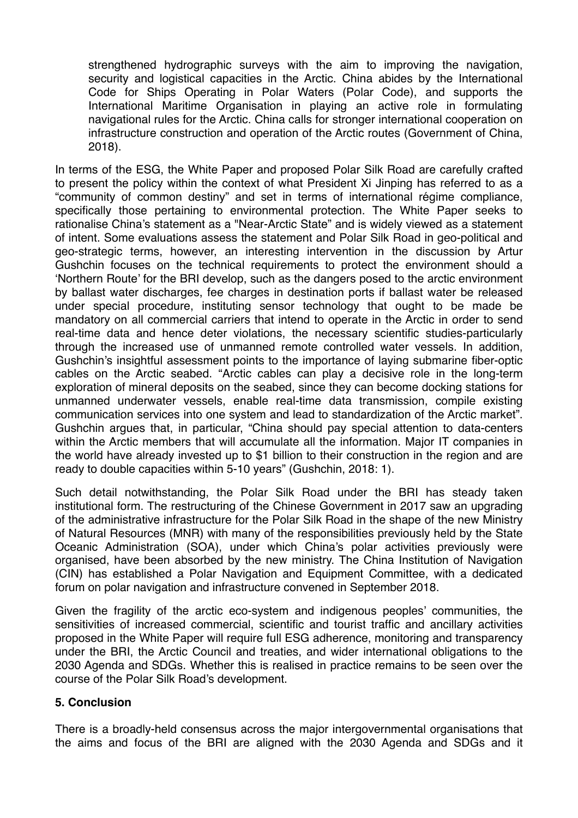strengthened hydrographic surveys with the aim to improving the navigation, security and logistical capacities in the Arctic. China abides by the International Code for Ships Operating in Polar Waters (Polar Code), and supports the International Maritime Organisation in playing an active role in formulating navigational rules for the Arctic. China calls for stronger international cooperation on infrastructure construction and operation of the Arctic routes (Government of China, 2018).

 In terms of the ESG, the White Paper and proposed Polar Silk Road are carefully crafted to present the policy within the context of what President Xi Jinping has referred to as a "community of common destiny" and set in terms of international régime compliance, specifically those pertaining to environmental protection. The White Paper seeks to rationalise China's statement as a "Near-Arctic State" and is widely viewed as a statement of intent. Some evaluations assess the statement and Polar Silk Road in geo-political and geo-strategic terms, however, an interesting intervention in the discussion by Artur Gushchin focuses on the technical requirements to protect the environment should a 'Northern Route' for the BRI develop, such as the dangers posed to the arctic environment by ballast water discharges, fee charges in destination ports if ballast water be released under special procedure, instituting sensor technology that ought to be made be mandatory on all commercial carriers that intend to operate in the Arctic in order to send real-time data and hence deter violations, the necessary scientific studies-particularly through the increased use of unmanned remote controlled water vessels. In addition, Gushchin's insightful assessment points to the importance of laying submarine fiber-optic cables on the Arctic seabed. "Arctic cables can play a decisive role in the long-term exploration of mineral deposits on the seabed, since they can become docking stations for unmanned underwater vessels, enable real-time data transmission, compile existing communication services into one system and lead to standardization of the Arctic market". Gushchin argues that, in particular, "China should pay special attention to data-centers within the Arctic members that will accumulate all the information. Major IT companies in the world have already invested up to \$1 billion to their construction in the region and are ready to double capacities within 5-10 years" (Gushchin, 2018: 1).

 Such detail notwithstanding, the Polar Silk Road under the BRI has steady taken institutional form. The restructuring of the Chinese Government in 2017 saw an upgrading of the administrative infrastructure for the Polar Silk Road in the shape of the new Ministry of Natural Resources (MNR) with many of the responsibilities previously held by the State Oceanic Administration (SOA), under which China's polar activities previously were organised, have been absorbed by the new ministry. The China Institution of Navigation (CIN) has established a Polar Navigation and Equipment Committee, with a dedicated forum on polar navigation and infrastructure convened in September 2018.

 Given the fragility of the arctic eco-system and indigenous peoples' communities, the sensitivities of increased commercial, scientific and tourist traffic and ancillary activities proposed in the White Paper will require full ESG adherence, monitoring and transparency under the BRI, the Arctic Council and treaties, and wider international obligations to the 2030 Agenda and SDGs. Whether this is realised in practice remains to be seen over the course of the Polar Silk Road's development.

#### **5. Conclusion**

 There is a broadly-held consensus across the major intergovernmental organisations that the aims and focus of the BRI are aligned with the 2030 Agenda and SDGs and it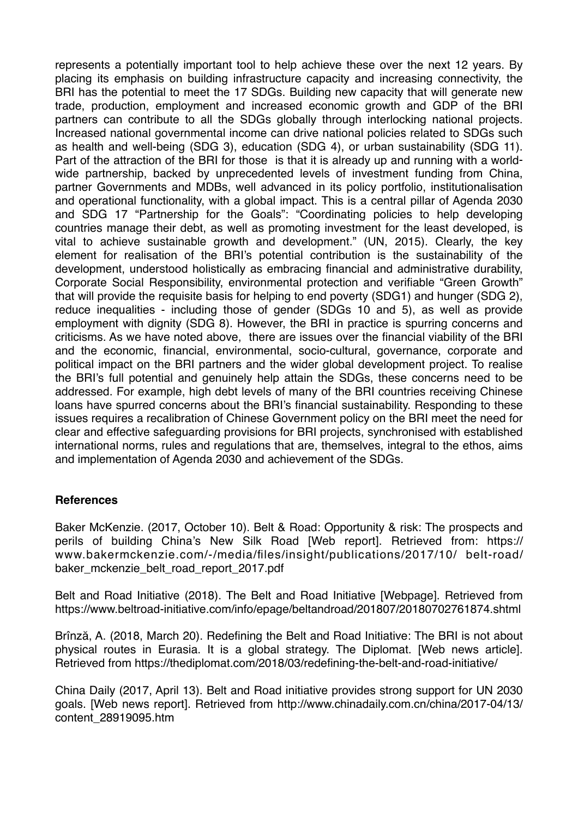represents a potentially important tool to help achieve these over the next 12 years. By placing its emphasis on building infrastructure capacity and increasing connectivity, the BRI has the potential to meet the 17 SDGs. Building new capacity that will generate new trade, production, employment and increased economic growth and GDP of the BRI partners can contribute to all the SDGs globally through interlocking national projects. Increased national governmental income can drive national policies related to SDGs such as health and well-being (SDG 3), education (SDG 4), or urban sustainability (SDG 11). Part of the attraction of the BRI for those is that it is already up and running with a world- wide partnership, backed by unprecedented levels of investment funding from China, partner Governments and MDBs, well advanced in its policy portfolio, institutionalisation and operational functionality, with a global impact. This is a central pillar of Agenda 2030 and SDG 17 "Partnership for the Goals": "Coordinating policies to help developing countries manage their debt, as well as promoting investment for the least developed, is vital to achieve sustainable growth and development." (UN, 2015). Clearly, the key element for realisation of the BRI's potential contribution is the sustainability of the development, understood holistically as embracing financial and administrative durability, Corporate Social Responsibility, environmental protection and verifiable "Green Growth" that will provide the requisite basis for helping to end poverty (SDG1) and hunger (SDG 2), reduce inequalities - including those of gender (SDGs 10 and 5), as well as provide employment with dignity (SDG 8). However, the BRI in practice is spurring concerns and criticisms. As we have noted above, there are issues over the financial viability of the BRI and the economic, financial, environmental, socio-cultural, governance, corporate and political impact on the BRI partners and the wider global development project. To realise the BRI's full potential and genuinely help attain the SDGs, these concerns need to be addressed. For example, high debt levels of many of the BRI countries receiving Chinese loans have spurred concerns about the BRI's financial sustainability. Responding to these issues requires a recalibration of Chinese Government policy on the BRI meet the need for clear and effective safeguarding provisions for BRI projects, synchronised with established international norms, rules and regulations that are, themselves, integral to the ethos, aims and implementation of Agenda 2030 and achievement of the SDGs.

#### **References**

 Baker McKenzie. (2017, October 10). Belt & Road: Opportunity & risk: The prospects and perils of building China's New Silk Road [Web report]. Retrieved from: https:// www.bakermckenzie.com/-/media/files/insight/publications/2017/10/ belt-road/ baker\_mckenzie\_belt\_road\_report\_2017.pdf

 Belt and Road Initiative (2018). The Belt and Road Initiative [Webpage]. Retrieved from https://www.beltroad-initiative.com/info/epage/beltandroad/201807/20180702761874.shtml

 Brînză, A. (2018, March 20). Redefining the Belt and Road Initiative: The BRI is not about physical routes in Eurasia. It is a global strategy. The Diplomat. [Web news article]. Retrieved from https://thediplomat.com/2018/03/redefining-the-belt-and-road-initiative/

 China Daily (2017, April 13). Belt and Road initiative provides strong support for UN 2030 goals. [Web news report]. Retrieved from http://www.chinadaily.com.cn/china/2017-04/13/ content\_28919095.htm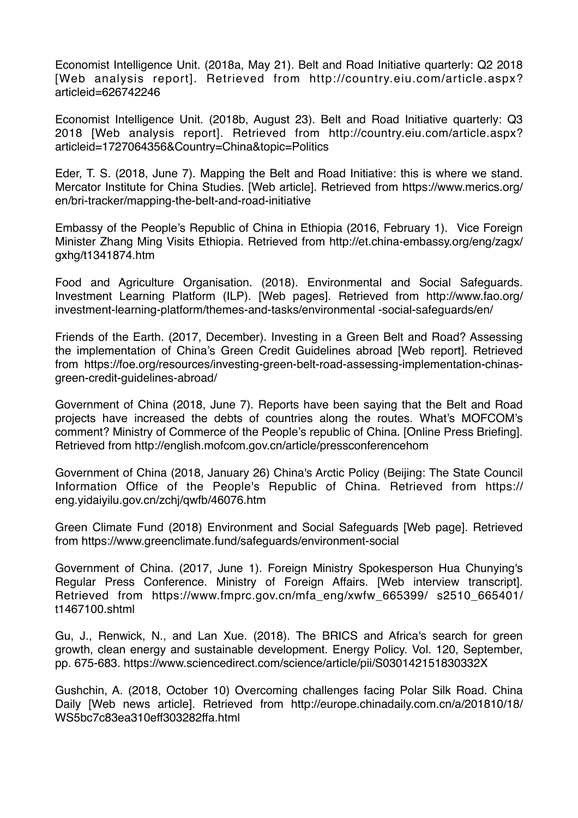Economist Intelligence Unit. (2018a, May 21). Belt and Road Initiative quarterly: Q2 2018 [Web analysis report]. Retrieved from http://country.eiu.com/article.aspx? articleid=626742246

 Economist Intelligence Unit. (2018b, August 23). Belt and Road Initiative quarterly: Q3 2018 [Web analysis report]. Retrieved from http://country.eiu.com/article.aspx? articleid=1727064356&Country=China&topic=Politics

 Eder, T. S. (2018, June 7). Mapping the Belt and Road Initiative: this is where we stand. Mercator Institute for China Studies. [Web article]. Retrieved from https://www.merics.org/ en/bri-tracker/mapping-the-belt-and-road-initiative

 Embassy of the People's Republic of China in Ethiopia (2016, February 1). Vice Foreign Minister Zhang Ming Visits Ethiopia. Retrieved from http://et.china-embassy.org/eng/zagx/ gxhg/t1341874.htm

 Food and Agriculture Organisation. (2018). Environmental and Social Safeguards. Investment Learning Platform (ILP). [Web pages]. Retrieved from http://www.fao.org/ investment-learning-platform/themes-and-tasks/environmental -social-safeguards/en/

 Friends of the Earth. (2017, December). Investing in a Green Belt and Road? Assessing the implementation of China's Green Credit Guidelines abroad [Web report]. Retrieved from https://foe.org/resources/investing-green-belt-road-assessing-implementation-chinasgreen-credit-guidelines-abroad/

 Government of China (2018, June 7). Reports have been saying that the Belt and Road projects have increased the debts of countries along the routes. What's MOFCOM's comment? Ministry of Commerce of the People's republic of China. [Online Press Briefing]. Retrieved from http://english.mofcom.gov.cn/article/pressconferencehom

 Government of China (2018, January 26) China's Arctic Policy (Beijing: The State Council Information Office of the People's Republic of China. Retrieved from https:// eng.yidaiyilu.gov.cn/zchj/qwfb/46076.htm

 Green Climate Fund (2018) Environment and Social Safeguards [Web page]. Retrieved from https://www.greenclimate.fund/safeguards/environment-social

 Government of China. (2017, June 1). Foreign Ministry Spokesperson Hua Chunying's Regular Press Conference. Ministry of Foreign Affairs. [Web interview transcript]. Retrieved from https://www.fmprc.gov.cn/mfa\_eng/xwfw\_665399/ s2510\_665401/ t1467100.shtml

 Gu, J., Renwick, N., and Lan Xue. (2018). The BRICS and Africa's search for green growth, clean energy and sustainable development. Energy Policy. Vol. 120, September, pp. 675-683. https://www.sciencedirect.com/science/article/pii/S030142151830332X

 Gushchin, A. (2018, October 10) Overcoming challenges facing Polar Silk Road. China Daily [Web news article]. Retrieved from http://europe.chinadaily.com.cn/a/201810/18/ WS5bc7c83ea310eff303282ffa.html